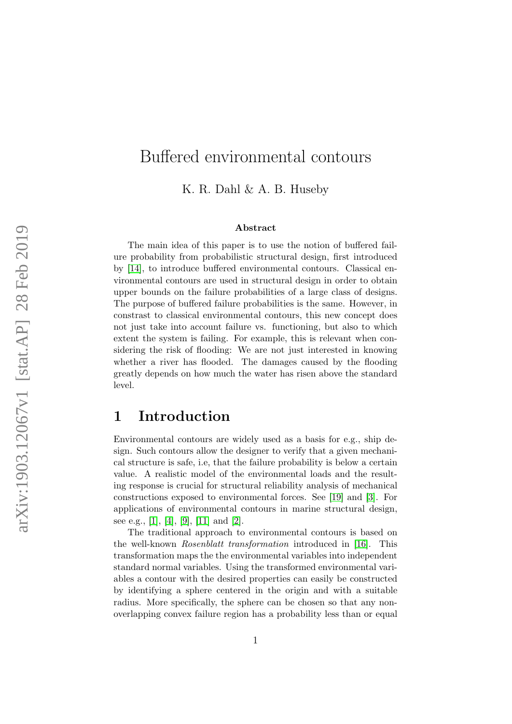# Buffered environmental contours

K. R. Dahl & A. B. Huseby

#### Abstract

The main idea of this paper is to use the notion of buffered failure probability from probabilistic structural design, first introduced by [\[14\]](#page-16-0), to introduce buffered environmental contours. Classical environmental contours are used in structural design in order to obtain upper bounds on the failure probabilities of a large class of designs. The purpose of buffered failure probabilities is the same. However, in constrast to classical environmental contours, this new concept does not just take into account failure vs. functioning, but also to which extent the system is failing. For example, this is relevant when considering the risk of flooding: We are not just interested in knowing whether a river has flooded. The damages caused by the flooding greatly depends on how much the water has risen above the standard level.

### 1 Introduction

Environmental contours are widely used as a basis for e.g., ship design. Such contours allow the designer to verify that a given mechanical structure is safe, i.e, that the failure probability is below a certain value. A realistic model of the environmental loads and the resulting response is crucial for structural reliability analysis of mechanical constructions exposed to environmental forces. See [\[19\]](#page-17-0) and [\[3\]](#page-15-0). For applications of environmental contours in marine structural design, see e.g., [\[1\]](#page-15-1), [\[4\]](#page-16-1), [\[9\]](#page-16-2), [\[11\]](#page-16-3) and [\[2\]](#page-15-2).

The traditional approach to environmental contours is based on the well-known Rosenblatt transformation introduced in [\[16\]](#page-17-1). This transformation maps the the environmental variables into independent standard normal variables. Using the transformed environmental variables a contour with the desired properties can easily be constructed by identifying a sphere centered in the origin and with a suitable radius. More specifically, the sphere can be chosen so that any nonoverlapping convex failure region has a probability less than or equal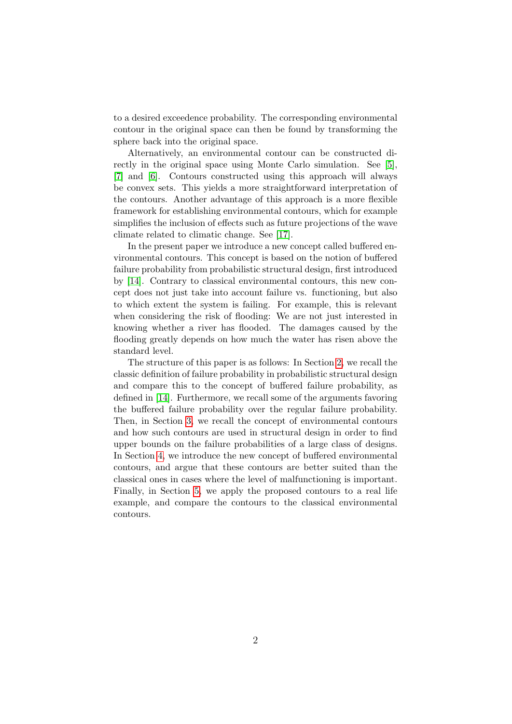to a desired exceedence probability. The corresponding environmental contour in the original space can then be found by transforming the sphere back into the original space.

Alternatively, an environmental contour can be constructed directly in the original space using Monte Carlo simulation. See [\[5\]](#page-16-4), [\[7\]](#page-16-5) and [\[6\]](#page-16-6). Contours constructed using this approach will always be convex sets. This yields a more straightforward interpretation of the contours. Another advantage of this approach is a more flexible framework for establishing environmental contours, which for example simplifies the inclusion of effects such as future projections of the wave climate related to climatic change. See [\[17\]](#page-17-2).

In the present paper we introduce a new concept called buffered environmental contours. This concept is based on the notion of buffered failure probability from probabilistic structural design, first introduced by [\[14\]](#page-16-0). Contrary to classical environmental contours, this new concept does not just take into account failure vs. functioning, but also to which extent the system is failing. For example, this is relevant when considering the risk of flooding: We are not just interested in knowing whether a river has flooded. The damages caused by the flooding greatly depends on how much the water has risen above the standard level.

The structure of this paper is as follows: In Section [2,](#page-2-0) we recall the classic definition of failure probability in probabilistic structural design and compare this to the concept of buffered failure probability, as defined in [\[14\]](#page-16-0). Furthermore, we recall some of the arguments favoring the buffered failure probability over the regular failure probability. Then, in Section [3,](#page-5-0) we recall the concept of environmental contours and how such contours are used in structural design in order to find upper bounds on the failure probabilities of a large class of designs. In Section [4,](#page-8-0) we introduce the new concept of buffered environmental contours, and argue that these contours are better suited than the classical ones in cases where the level of malfunctioning is important. Finally, in Section [5,](#page-11-0) we apply the proposed contours to a real life example, and compare the contours to the classical environmental contours.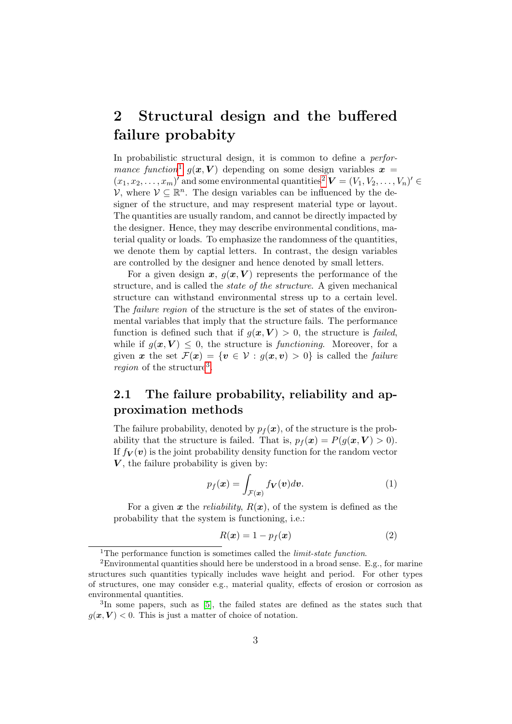## <span id="page-2-0"></span>2 Structural design and the buffered failure probabity

In probabilistic structural design, it is common to define a *performance function*<sup>[1](#page-2-1)</sup>  $g(x, V)$  depending on some design variables  $x =$  $(x_1, x_2, \ldots, x_m)'$  $(x_1, x_2, \ldots, x_m)'$  $(x_1, x_2, \ldots, x_m)'$  and some environmental quantities<sup>2</sup>  $\mathbf{V} = (V_1, V_2, \ldots, V_n)' \in$  $\mathcal{V},$  where  $\mathcal{V} \subseteq \mathbb{R}^n$ . The design variables can be influenced by the designer of the structure, and may respresent material type or layout. The quantities are usually random, and cannot be directly impacted by the designer. Hence, they may describe environmental conditions, material quality or loads. To emphasize the randomness of the quantities, we denote them by captial letters. In contrast, the design variables are controlled by the designer and hence denoted by small letters.

For a given design x,  $g(x, V)$  represents the performance of the structure, and is called the state of the structure. A given mechanical structure can withstand environmental stress up to a certain level. The failure region of the structure is the set of states of the environmental variables that imply that the structure fails. The performance function is defined such that if  $g(x, V) > 0$ , the structure is failed, while if  $q(x, V) \leq 0$ , the structure is *functioning*. Moreover, for a given x the set  $\mathcal{F}(x) = \{v \in \mathcal{V} : g(x, v) > 0\}$  is called the *failure region* of the structure<sup>[3](#page-2-3)</sup>.

#### 2.1 The failure probability, reliability and approximation methods

The failure probability, denoted by  $p_f(x)$ , of the structure is the probability that the structure is failed. That is,  $p_f(\mathbf{x}) = P(g(\mathbf{x}, V) > 0)$ . If  $f_V(v)$  is the joint probability density function for the random vector  $V$ , the failure probability is given by:

<span id="page-2-4"></span>
$$
p_f(\boldsymbol{x}) = \int_{\mathcal{F}(\boldsymbol{x})} f(\boldsymbol{v}) d\boldsymbol{v}.
$$
 (1)

For a given x the *reliability*,  $R(x)$ , of the system is defined as the probability that the system is functioning, i.e.:

$$
R(\boldsymbol{x}) = 1 - p_f(\boldsymbol{x}) \tag{2}
$$

<span id="page-2-2"></span><span id="page-2-1"></span><sup>&</sup>lt;sup>1</sup>The performance function is sometimes called the *limit-state function*.

<sup>2</sup>Environmental quantities should here be understood in a broad sense. E.g., for marine structures such quantities typically includes wave height and period. For other types of structures, one may consider e.g., material quality, effects of erosion or corrosion as environmental quantities.

<span id="page-2-3"></span><sup>&</sup>lt;sup>3</sup>In some papers, such as [\[5\]](#page-16-4), the failed states are defined as the states such that  $g(x, V) < 0$ . This is just a matter of choice of notation.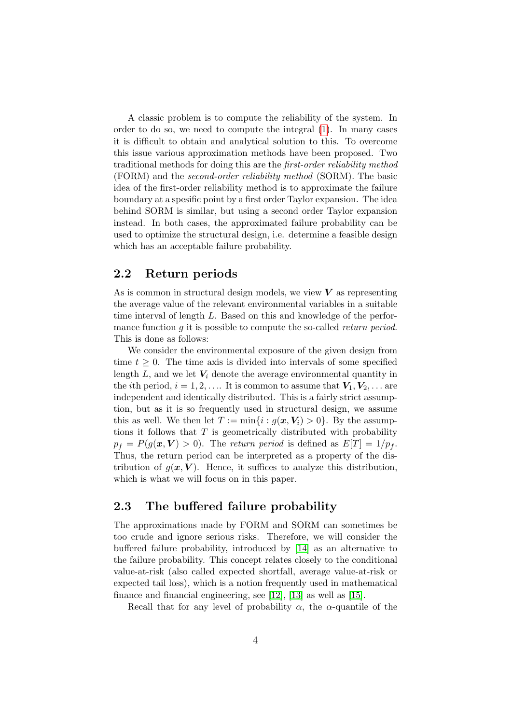A classic problem is to compute the reliability of the system. In order to do so, we need to compute the integral [\(1\)](#page-2-4). In many cases it is difficult to obtain and analytical solution to this. To overcome this issue various approximation methods have been proposed. Two traditional methods for doing this are the first-order reliability method (FORM) and the second-order reliability method (SORM). The basic idea of the first-order reliability method is to approximate the failure boundary at a spesific point by a first order Taylor expansion. The idea behind SORM is similar, but using a second order Taylor expansion instead. In both cases, the approximated failure probability can be used to optimize the structural design, i.e. determine a feasible design which has an acceptable failure probability.

#### <span id="page-3-0"></span>2.2 Return periods

As is common in structural design models, we view  $V$  as representing the average value of the relevant environmental variables in a suitable time interval of length L. Based on this and knowledge of the performance function  $q$  it is possible to compute the so-called return period. This is done as follows:

We consider the environmental exposure of the given design from time  $t \geq 0$ . The time axis is divided into intervals of some specified length  $L$ , and we let  $V_i$  denote the average environmental quantity in the *i*th period,  $i = 1, 2, \ldots$  It is common to assume that  $V_1, V_2, \ldots$  are independent and identically distributed. This is a fairly strict assumption, but as it is so frequently used in structural design, we assume this as well. We then let  $T := \min\{i : g(x, V_i) > 0\}$ . By the assumptions it follows that  $T$  is geometrically distributed with probability  $p_f = P(g(\mathbf{x}, V) > 0)$ . The return period is defined as  $E[T] = 1/p_f$ . Thus, the return period can be interpreted as a property of the distribution of  $g(x, V)$ . Hence, it suffices to analyze this distribution. which is what we will focus on in this paper.

#### 2.3 The buffered failure probability

The approximations made by FORM and SORM can sometimes be too crude and ignore serious risks. Therefore, we will consider the buffered failure probability, introduced by [\[14\]](#page-16-0) as an alternative to the failure probability. This concept relates closely to the conditional value-at-risk (also called expected shortfall, average value-at-risk or expected tail loss), which is a notion frequently used in mathematical finance and financial engineering, see [\[12\]](#page-16-7), [\[13\]](#page-16-8) as well as [\[15\]](#page-16-9).

Recall that for any level of probability  $\alpha$ , the  $\alpha$ -quantile of the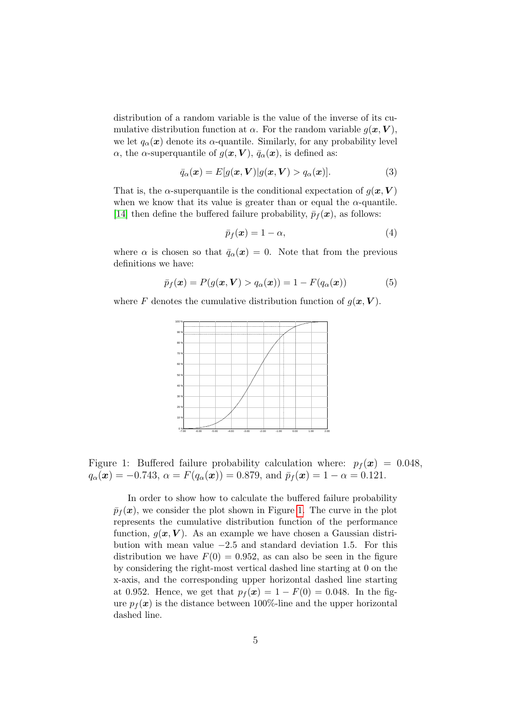distribution of a random variable is the value of the inverse of its cumulative distribution function at  $\alpha$ . For the random variable  $g(x, V)$ , we let  $q_{\alpha}(\boldsymbol{x})$  denote its  $\alpha$ -quantile. Similarly, for any probability level α, the α-superquantile of  $g(x, V)$ ,  $\bar{q}_\alpha(x)$ , is defined as:

$$
\bar{q}_{\alpha}(\boldsymbol{x}) = E[g(\boldsymbol{x}, \boldsymbol{V})|g(\boldsymbol{x}, \boldsymbol{V}) > q_{\alpha}(\boldsymbol{x})]. \tag{3}
$$

That is, the  $\alpha$ -superquantile is the conditional expectation of  $g(\boldsymbol{x}, \boldsymbol{V})$ when we know that its value is greater than or equal the  $\alpha$ -quantile. [\[14\]](#page-16-0) then define the buffered failure probability,  $\bar{p}_f(\bm{x})$ , as follows:

$$
\bar{p}_f(\boldsymbol{x}) = 1 - \alpha,\tag{4}
$$

where  $\alpha$  is chosen so that  $\bar{q}_{\alpha}(\bm{x}) = 0$ . Note that from the previous definitions we have:

$$
\bar{p}_f(\boldsymbol{x}) = P(g(\boldsymbol{x}, \boldsymbol{V}) > q_\alpha(\boldsymbol{x})) = 1 - F(q_\alpha(\boldsymbol{x})) \tag{5}
$$

where F denotes the cumulative distribution function of  $g(x, V)$ .



Figure 1: Buffered failure probability calculation where:  $p_f(x) = 0.048$ ,  $q_{\alpha}(\boldsymbol{x}) = -0.743, \, \alpha = F(q_{\alpha}(\boldsymbol{x})) = 0.879, \text{ and } \bar{p}_f(\boldsymbol{x}) = 1 - \alpha = 0.121.$ 

<span id="page-4-0"></span>In order to show how to calculate the buffered failure probability  $\bar{p}_f(\bm{x})$ , we consider the plot shown in Figure [1.](#page-4-0) The curve in the plot represents the cumulative distribution function of the performance function,  $g(x, V)$ . As an example we have chosen a Gaussian distribution with mean value  $-2.5$  and standard deviation 1.5. For this distribution we have  $F(0) = 0.952$ , as can also be seen in the figure by considering the right-most vertical dashed line starting at 0 on the x-axis, and the corresponding upper horizontal dashed line starting at 0.952. Hence, we get that  $p_f(x) = 1 - F(0) = 0.048$ . In the figure  $p_f(\mathbf{x})$  is the distance between 100%-line and the upper horizontal dashed line.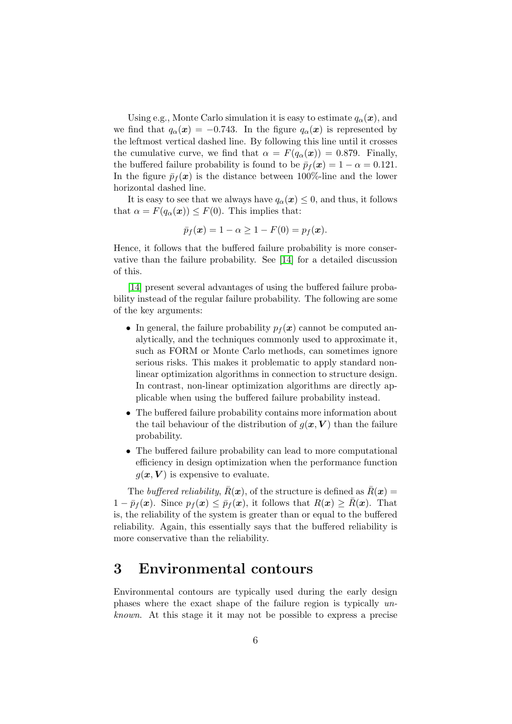Using e.g., Monte Carlo simulation it is easy to estimate  $q_{\alpha}(\boldsymbol{x})$ , and we find that  $q_{\alpha}(\mathbf{x}) = -0.743$ . In the figure  $q_{\alpha}(\mathbf{x})$  is represented by the leftmost vertical dashed line. By following this line until it crosses the cumulative curve, we find that  $\alpha = F(q_\alpha(\boldsymbol{x})) = 0.879$ . Finally, the buffered failure probability is found to be  $\bar{p}_f(\boldsymbol{x}) = 1 - \alpha = 0.121$ . In the figure  $\bar{p}_f(\boldsymbol{x})$  is the distance between 100%-line and the lower horizontal dashed line.

It is easy to see that we always have  $q_{\alpha}(\boldsymbol{x}) \leq 0$ , and thus, it follows that  $\alpha = F(q_\alpha(\boldsymbol{x})) \leq F(0)$ . This implies that:

$$
\bar{p}_f(\boldsymbol{x}) = 1 - \alpha \ge 1 - F(0) = p_f(\boldsymbol{x}).
$$

Hence, it follows that the buffered failure probability is more conservative than the failure probability. See [\[14\]](#page-16-0) for a detailed discussion of this.

[\[14\]](#page-16-0) present several advantages of using the buffered failure probability instead of the regular failure probability. The following are some of the key arguments:

- In general, the failure probability  $p_f(x)$  cannot be computed analytically, and the techniques commonly used to approximate it, such as FORM or Monte Carlo methods, can sometimes ignore serious risks. This makes it problematic to apply standard nonlinear optimization algorithms in connection to structure design. In contrast, non-linear optimization algorithms are directly applicable when using the buffered failure probability instead.
- The buffered failure probability contains more information about the tail behaviour of the distribution of  $g(x, V)$  than the failure probability.
- The buffered failure probability can lead to more computational efficiency in design optimization when the performance function  $g(x, V)$  is expensive to evaluate.

The buffered reliability,  $\bar{R}(\boldsymbol{x})$ , of the structure is defined as  $\bar{R}(\boldsymbol{x}) =$  $1 - \bar{p}_f(\bm{x})$ . Since  $p_f(\bm{x}) \leq \bar{p}_f(\bm{x})$ , it follows that  $R(\bm{x}) \geq \bar{R}(\bm{x})$ . That is, the reliability of the system is greater than or equal to the buffered reliability. Again, this essentially says that the buffered reliability is more conservative than the reliability.

### <span id="page-5-0"></span>3 Environmental contours

Environmental contours are typically used during the early design phases where the exact shape of the failure region is typically unknown. At this stage it it may not be possible to express a precise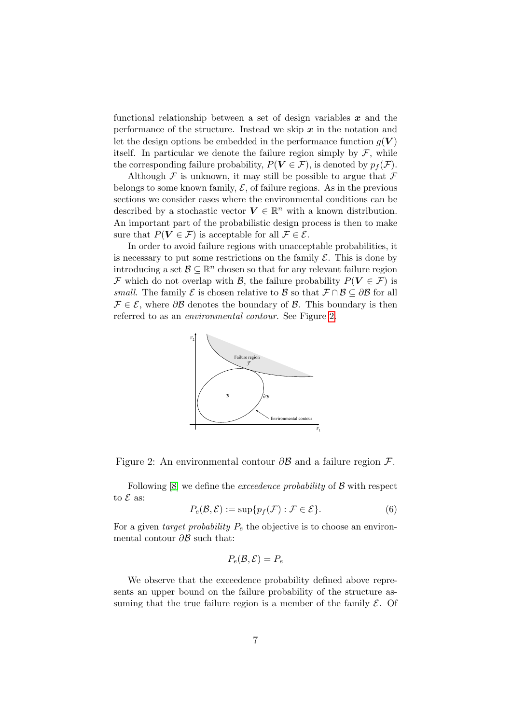functional relationship between a set of design variables  $x$  and the performance of the structure. Instead we skip  $x$  in the notation and let the design options be embedded in the performance function  $q(V)$ itself. In particular we denote the failure region simply by  $\mathcal{F}$ , while the corresponding failure probability,  $P(V \in \mathcal{F})$ , is denoted by  $p_f(\mathcal{F})$ .

Although  $\mathcal F$  is unknown, it may still be possible to argue that  $\mathcal F$ belongs to some known family,  $\mathcal{E}$ , of failure regions. As in the previous sections we consider cases where the environmental conditions can be described by a stochastic vector  $V \in \mathbb{R}^n$  with a known distribution. An important part of the probabilistic design process is then to make sure that  $P(V \in \mathcal{F})$  is acceptable for all  $\mathcal{F} \in \mathcal{E}$ .

In order to avoid failure regions with unacceptable probabilities, it is necessary to put some restrictions on the family  $\mathcal{E}$ . This is done by introducing a set  $\mathcal{B} \subseteq \mathbb{R}^n$  chosen so that for any relevant failure region F which do not overlap with B, the failure probability  $P(V \in \mathcal{F})$  is small. The family  $\mathcal E$  is chosen relative to  $\mathcal B$  so that  $\mathcal F \cap \mathcal B \subseteq \partial \mathcal B$  for all  $\mathcal{F} \in \mathcal{E}$ , where  $\partial \mathcal{B}$  denotes the boundary of  $\mathcal{B}$ . This boundary is then referred to as an environmental contour. See Figure [2.](#page-6-0)



<span id="page-6-0"></span>Figure 2: An environmental contour ∂B and a failure region F.

Following  $[8]$  we define the *exceedence probability* of  $\beta$  with respect to  $\mathcal E$  as:

$$
P_e(\mathcal{B}, \mathcal{E}) := \sup \{ p_f(\mathcal{F}) : \mathcal{F} \in \mathcal{E} \}.
$$
 (6)

For a given *target probability*  $P_e$  the objective is to choose an environmental contour  $\partial \mathcal{B}$  such that:

$$
P_e(\mathcal{B}, \mathcal{E}) = P_e
$$

We observe that the exceedence probability defined above represents an upper bound on the failure probability of the structure assuming that the true failure region is a member of the family  $\mathcal{E}$ . Of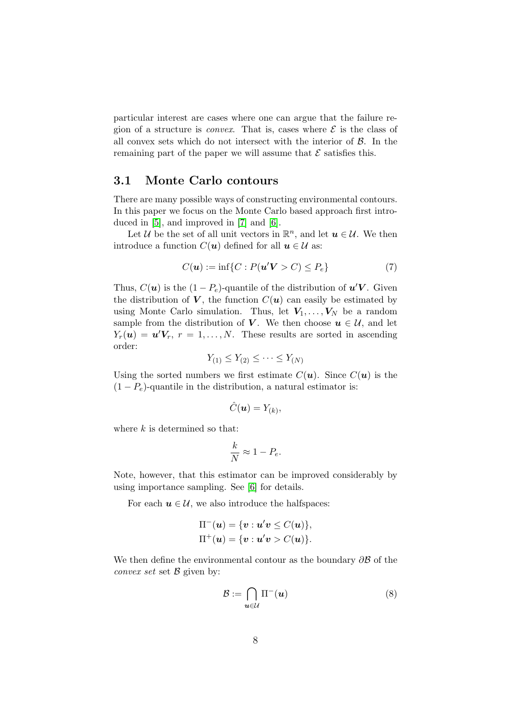particular interest are cases where one can argue that the failure region of a structure is *convex*. That is, cases where  $\mathcal{E}$  is the class of all convex sets which do not intersect with the interior of  $\beta$ . In the remaining part of the paper we will assume that  $\mathcal E$  satisfies this.

#### <span id="page-7-1"></span>3.1 Monte Carlo contours

There are many possible ways of constructing environmental contours. In this paper we focus on the Monte Carlo based approach first introduced in [\[5\]](#page-16-4), and improved in [\[7\]](#page-16-5) and [\[6\]](#page-16-6).

Let U be the set of all unit vectors in  $\mathbb{R}^n$ , and let  $u \in U$ . We then introduce a function  $C(\mathbf{u})$  defined for all  $\mathbf{u} \in \mathcal{U}$  as:

<span id="page-7-0"></span>
$$
C(\boldsymbol{u}) := \inf\{C : P(\boldsymbol{u}'\boldsymbol{V} > C) \le P_e\} \tag{7}
$$

Thus,  $C(\boldsymbol{u})$  is the  $(1 - P_e)$ -quantile of the distribution of  $\boldsymbol{u}'\boldsymbol{V}$ . Given the distribution of  $V$ , the function  $C(u)$  can easily be estimated by using Monte Carlo simulation. Thus, let  $V_1, \ldots, V_N$  be a random sample from the distribution of V. We then choose  $u \in \mathcal{U}$ , and let  $Y_r(\boldsymbol{u}) = \boldsymbol{u}' \boldsymbol{V}_r, r = 1, \dots, N.$  These results are sorted in ascending order:

$$
Y_{(1)} \le Y_{(2)} \le \cdots \le Y_{(N)}
$$

Using the sorted numbers we first estimate  $C(\mathbf{u})$ . Since  $C(\mathbf{u})$  is the  $(1 - P_e)$ -quantile in the distribution, a natural estimator is:

$$
\hat{C}(\boldsymbol{u})=Y_{(k)},
$$

where  $k$  is determined so that:

$$
\frac{k}{N} \approx 1 - P_e.
$$

Note, however, that this estimator can be improved considerably by using importance sampling. See [\[6\]](#page-16-6) for details.

For each  $u \in \mathcal{U}$ , we also introduce the halfspaces:

$$
\Pi^-(\boldsymbol{u}) = \{\boldsymbol{v} : \boldsymbol{u}'\boldsymbol{v} \le C(\boldsymbol{u})\},
$$
  

$$
\Pi^+(\boldsymbol{u}) = \{\boldsymbol{v} : \boldsymbol{u}'\boldsymbol{v} > C(\boldsymbol{u})\}.
$$

We then define the environmental contour as the boundary  $\partial \mathcal{B}$  of the *convex set* set  $\beta$  given by:

<span id="page-7-2"></span>
$$
\mathcal{B} := \bigcap_{\mathbf{u} \in \mathcal{U}} \Pi^{-}(\mathbf{u}) \tag{8}
$$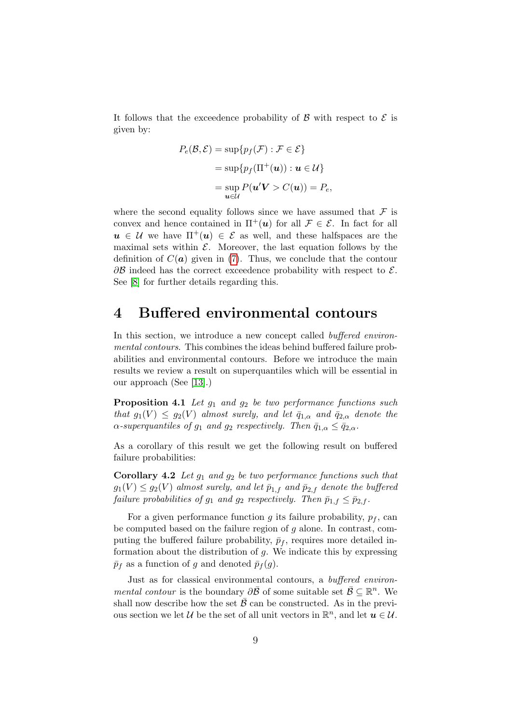It follows that the exceedence probability of  $\beta$  with respect to  $\beta$  is given by:

$$
P_e(\mathcal{B}, \mathcal{E}) = \sup \{ p_f(\mathcal{F}) : \mathcal{F} \in \mathcal{E} \}
$$
  
= 
$$
\sup \{ p_f(\Pi^+(\mathbf{u})) : \mathbf{u} \in \mathcal{U} \}
$$
  
= 
$$
\sup_{\mathbf{u} \in \mathcal{U}} P(\mathbf{u}' \mathbf{V} > C(\mathbf{u})) = P_e,
$$

where the second equality follows since we have assumed that  $\mathcal F$  is convex and hence contained in  $\Pi^+(\mathbf{u})$  for all  $\mathcal{F} \in \mathcal{E}$ . In fact for all  $u \in \mathcal{U}$  we have  $\Pi^+(\mathbf{u}) \in \mathcal{E}$  as well, and these halfspaces are the maximal sets within  $\mathcal{E}$ . Moreover, the last equation follows by the definition of  $C(\boldsymbol{a})$  given in [\(7\)](#page-7-0). Thus, we conclude that the contour  $\partial \mathcal{B}$  indeed has the correct exceedence probability with respect to  $\mathcal{E}$ . See [\[8\]](#page-16-10) for further details regarding this.

#### <span id="page-8-0"></span>4 Buffered environmental contours

In this section, we introduce a new concept called *buffered environ*mental contours. This combines the ideas behind buffered failure probabilities and environmental contours. Before we introduce the main results we review a result on superquantiles which will be essential in our approach (See [\[13\]](#page-16-8).)

**Proposition 4.1** Let  $g_1$  and  $g_2$  be two performance functions such that  $g_1(V) \le g_2(V)$  almost surely, and let  $\bar{q}_{1,\alpha}$  and  $\bar{q}_{2,\alpha}$  denote the  $\alpha$ -superquantiles of  $g_1$  and  $g_2$  respectively. Then  $\bar{q}_{1,\alpha} \leq \bar{q}_{2,\alpha}$ .

<span id="page-8-1"></span>As a corollary of this result we get the following result on buffered failure probabilities:

**Corollary 4.2** Let  $g_1$  and  $g_2$  be two performance functions such that  $g_1(V) \leq g_2(V)$  almost surely, and let  $\bar{p}_{1,f}$  and  $\bar{p}_{2,f}$  denote the buffered failure probabilities of  $g_1$  and  $g_2$  respectively. Then  $\bar{p}_{1,f} \leq \bar{p}_{2,f}$ .

For a given performance function g its failure probability,  $p_f$ , can be computed based on the failure region of  $g$  alone. In contrast, computing the buffered failure probability,  $\bar{p}_f$ , requires more detailed information about the distribution of  $g$ . We indicate this by expressing  $\bar{p}_f$  as a function of g and denoted  $\bar{p}_f(g)$ .

Just as for classical environmental contours, a buffered environ*mental contour* is the boundary  $\partial \overline{B}$  of some suitable set  $\overline{B} \subseteq \mathbb{R}^n$ . We shall now describe how the set  $\bar{\mathcal{B}}$  can be constructed. As in the previous section we let U be the set of all unit vectors in  $\mathbb{R}^n$ , and let  $u \in U$ .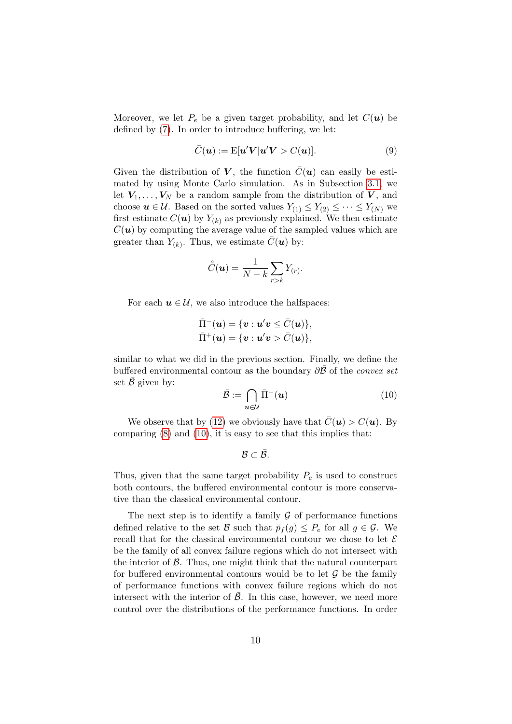Moreover, we let  $P_e$  be a given target probability, and let  $C(\boldsymbol{u})$  be defined by [\(7\)](#page-7-0). In order to introduce buffering, we let:

$$
\bar{C}(\boldsymbol{u}) := \mathbb{E}[\boldsymbol{u}' \boldsymbol{V} | \boldsymbol{u}' \boldsymbol{V} > C(\boldsymbol{u})]. \tag{9}
$$

Given the distribution of V, the function  $\bar{C}(u)$  can easily be estimated by using Monte Carlo simulation. As in Subsection [3.1,](#page-7-1) we let  $V_1, \ldots, V_N$  be a random sample from the distribution of V, and choose  $u \in \mathcal{U}$ . Based on the sorted values  $Y_{(1)} \leq Y_{(2)} \leq \cdots \leq Y_{(N)}$  we first estimate  $C(\boldsymbol{u})$  by  $Y_{(k)}$  as previously explained. We then estimate  $\overline{C}(\boldsymbol{u})$  by computing the average value of the sampled values which are greater than  $Y_{(k)}$ . Thus, we estimate  $\bar{C}(\boldsymbol{u})$  by:

$$
\hat{\bar{C}}(\boldsymbol{u}) = \frac{1}{N-k} \sum_{r>k} Y(r).
$$

For each  $u \in \mathcal{U}$ , we also introduce the halfspaces:

$$
\bar{\Pi}^-(\boldsymbol{u}) = \{\boldsymbol{v} : \boldsymbol{u}'\boldsymbol{v} \leq \bar{C}(\boldsymbol{u})\},\
$$
  

$$
\bar{\Pi}^+(\boldsymbol{u}) = \{\boldsymbol{v} : \boldsymbol{u}'\boldsymbol{v} > \bar{C}(\boldsymbol{u})\},\
$$

similar to what we did in the previous section. Finally, we define the buffered environmental contour as the boundary  $\partial \overline{B}$  of the *convex set* set  $\bar{\mathcal{B}}$  given by:

<span id="page-9-0"></span>
$$
\bar{\mathcal{B}} := \bigcap_{\mathbf{u} \in \mathcal{U}} \bar{\Pi}^{-}(\mathbf{u}) \tag{10}
$$

We observe that by [\(12\)](#page-11-1) we obviously have that  $\overline{C}(\boldsymbol{u}) > C(\boldsymbol{u})$ . By comparing  $(8)$  and  $(10)$ , it is easy to see that this implies that:

$$
\mathcal{B}\subset\bar{\mathcal{B}}.
$$

Thus, given that the same target probability  $P_e$  is used to construct both contours, the buffered environmental contour is more conservative than the classical environmental contour.

The next step is to identify a family  $\mathcal G$  of performance functions defined relative to the set B such that  $\bar{p}_f(g) \leq P_e$  for all  $g \in \mathcal{G}$ . We recall that for the classical environmental contour we chose to let  $\mathcal E$ be the family of all convex failure regions which do not intersect with the interior of  $\beta$ . Thus, one might think that the natural counterpart for buffered environmental contours would be to let  $\mathcal G$  be the family of performance functions with convex failure regions which do not intersect with the interior of  $\overline{B}$ . In this case, however, we need more control over the distributions of the performance functions. In order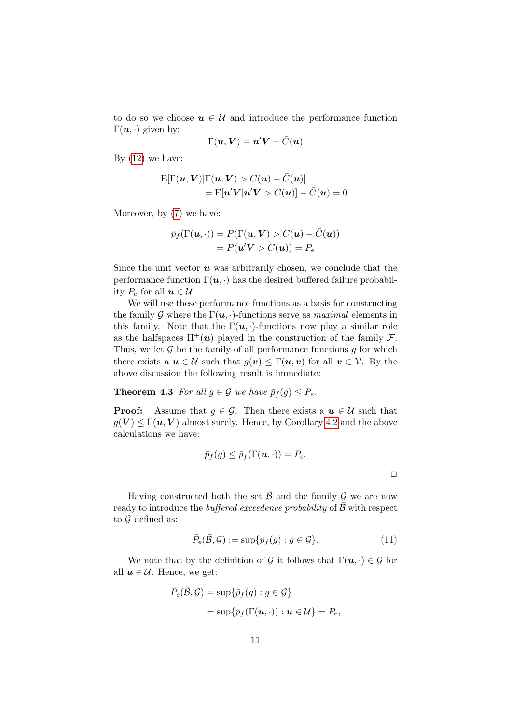to do so we choose  $u \in \mathcal{U}$  and introduce the performance function  $\Gamma(\boldsymbol{u},\cdot)$  given by:

$$
\Gamma(\boldsymbol{u},\boldsymbol{V})=\boldsymbol{u}'\boldsymbol{V}-\bar{C}(\boldsymbol{u})
$$

By  $(12)$  we have:

$$
\mathbf{E}[\Gamma(\mathbf{u}, \mathbf{V}) | \Gamma(\mathbf{u}, \mathbf{V}) > C(\mathbf{u}) - \bar{C}(\mathbf{u})] \\
= \mathbf{E}[\mathbf{u}' \mathbf{V} | \mathbf{u}' \mathbf{V} > C(\mathbf{u})] - \bar{C}(\mathbf{u}) = 0.
$$

Moreover, by [\(7\)](#page-7-0) we have:

$$
\bar{p}_f(\Gamma(\mathbf{u},\cdot)) = P(\Gamma(\mathbf{u}, \mathbf{V}) > C(\mathbf{u}) - \bar{C}(\mathbf{u}))
$$

$$
= P(\mathbf{u}'\mathbf{V} > C(\mathbf{u})) = P_e
$$

Since the unit vector  $u$  was arbitrarily chosen, we conclude that the performance function  $\Gamma(u, \cdot)$  has the desired buffered failure probability  $P_e$  for all  $u \in \mathcal{U}$ .

We will use these performance functions as a basis for constructing the family G where the  $\Gamma(\mathbf{u},\cdot)$ -functions serve as *maximal* elements in this family. Note that the  $\Gamma(u, \cdot)$ -functions now play a similar role as the halfspaces  $\Pi^+(\mathbf{u})$  played in the construction of the family F. Thus, we let  $\mathcal G$  be the family of all performance functions  $g$  for which there exists a  $u \in \mathcal{U}$  such that  $g(v) \leq \Gamma(u, v)$  for all  $v \in \mathcal{V}$ . By the above discussion the following result is immediate:

**Theorem 4.3** For all  $g \in \mathcal{G}$  we have  $\bar{p}_f(g) \leq P_e$ .

**Proof:** Assume that  $g \in \mathcal{G}$ . Then there exists a  $u \in \mathcal{U}$  such that  $g(V) \leq \Gamma(u, V)$  almost surely. Hence, by Corollary [4.2](#page-8-1) and the above calculations we have:

$$
\bar{p}_f(g) \leq \bar{p}_f(\Gamma(\boldsymbol{u},\cdot)) = P_e.
$$

 $\Box$ 

Having constructed both the set  $\overline{B}$  and the family  $\mathcal G$  we are now ready to introduce the *buffered exceedence probability* of  $\bar{\mathcal{B}}$  with respect to  $\mathcal G$  defined as:

$$
\bar{P}_e(\bar{\mathcal{B}}, \mathcal{G}) := \sup \{ \bar{p}_f(g) : g \in \mathcal{G} \}.
$$
\n(11)

We note that by the definition of G it follows that  $\Gamma(\mathbf{u},\cdot) \in \mathcal{G}$  for all  $u \in \mathcal{U}$ . Hence, we get:

$$
\bar{P}_e(\bar{\mathcal{B}}, \mathcal{G}) = \sup \{ \bar{p}_f(g) : g \in \mathcal{G} \}
$$
  
= 
$$
\sup \{ \bar{p}_f(\Gamma(\mathbf{u}, \cdot)) : \mathbf{u} \in \mathcal{U} \} = P_e,
$$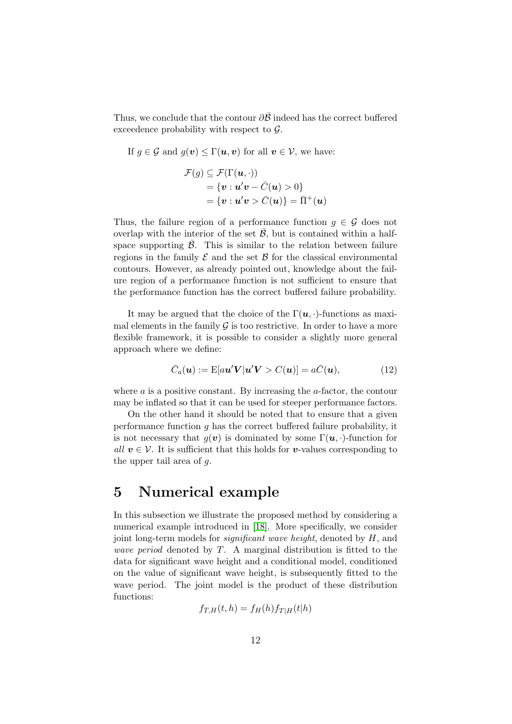Thus, we conclude that the contour  $\partial \bar{\mathcal{B}}$  indeed has the correct buffered exceedence probability with respect to  $\mathcal{G}$ .

If 
$$
g \in \mathcal{G}
$$
 and  $g(v) \leq \Gamma(u, v)$  for all  $v \in \mathcal{V}$ , we have:  

$$
\mathcal{F}(g) \subset \mathcal{F}(\Gamma(u, \cdot))
$$

$$
(y) \equiv 3 \quad (1 \quad (u, \cdot))
$$
  
= { $v : u'v - \overline{C}(u) > 0$ }  
= { $v : u'v > \overline{C}(u)$ } =  $\overline{\Pi}^+(u)$ 

Thus, the failure region of a performance function  $q \in \mathcal{G}$  does not overlap with the interior of the set  $\bar{\mathcal{B}}$ , but is contained within a halfspace supporting  $\bar{\mathcal{B}}$ . This is similar to the relation between failure regions in the family  $\mathcal E$  and the set  $\mathcal B$  for the classical environmental contours. However, as already pointed out, knowledge about the failure region of a performance function is not sufficient to ensure that the performance function has the correct buffered failure probability.

It may be argued that the choice of the  $\Gamma(u, \cdot)$ -functions as maximal elements in the family  $\mathcal G$  is too restrictive. In order to have a more flexible framework, it is possible to consider a slightly more general approach where we define:

<span id="page-11-1"></span>
$$
\bar{C}_a(\mathbf{u}) := \mathbb{E}[a\mathbf{u}'\mathbf{V}|\mathbf{u}'\mathbf{V} > C(\mathbf{u})] = a\bar{C}(\mathbf{u}),\tag{12}
$$

where  $\alpha$  is a positive constant. By increasing the  $\alpha$ -factor, the contour may be inflated so that it can be used for steeper performance factors.

On the other hand it should be noted that to ensure that a given performance function g has the correct buffered failure probability, it is not necessary that  $q(v)$  is dominated by some  $\Gamma(u, \cdot)$ -function for all  $v \in V$ . It is sufficient that this holds for v-values corresponding to the upper tail area of g.

### <span id="page-11-0"></span>5 Numerical example

In this subsection we illustrate the proposed method by considering a numerical example introduced in [\[18\]](#page-17-3). More specifically, we consider joint long-term models for *significant wave height*, denoted by  $H$ , and *wave period* denoted by  $T$ . A marginal distribution is fitted to the data for significant wave height and a conditional model, conditioned on the value of significant wave height, is subsequently fitted to the wave period. The joint model is the product of these distribution functions:

$$
f_{T,H}(t,h) = f_H(h) f_{T|H}(t|h)
$$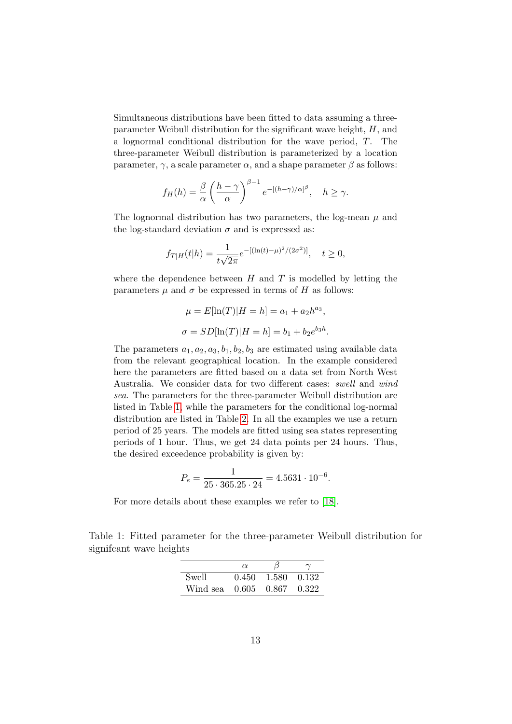Simultaneous distributions have been fitted to data assuming a threeparameter Weibull distribution for the significant wave height, H, and a lognormal conditional distribution for the wave period, T. The three-parameter Weibull distribution is parameterized by a location parameter,  $\gamma$ , a scale parameter  $\alpha$ , and a shape parameter  $\beta$  as follows:

$$
f_H(h) = \frac{\beta}{\alpha} \left(\frac{h-\gamma}{\alpha}\right)^{\beta-1} e^{-[(h-\gamma)/\alpha]^{\beta}}, \quad h \ge \gamma.
$$

The lognormal distribution has two parameters, the log-mean  $\mu$  and the log-standard deviation  $\sigma$  and is expressed as:

$$
f_{T|H}(t|h) = \frac{1}{t\sqrt{2\pi}}e^{-[(\ln(t)-\mu)^2/(2\sigma^2)]}, \quad t \ge 0,
$$

where the dependence between  $H$  and  $T$  is modelled by letting the parameters  $\mu$  and  $\sigma$  be expressed in terms of H as follows:

$$
\mu = E[\ln(T)|H = h] = a_1 + a_2 h^{a_3},
$$
  

$$
\sigma = SD[\ln(T)|H = h] = b_1 + b_2 e^{b_3 h}.
$$

The parameters  $a_1, a_2, a_3, b_1, b_2, b_3$  are estimated using available data from the relevant geographical location. In the example considered here the parameters are fitted based on a data set from North West Australia. We consider data for two different cases: swell and wind sea. The parameters for the three-parameter Weibull distribution are listed in Table [1,](#page-12-0) while the parameters for the conditional log-normal distribution are listed in Table [2.](#page-13-0) In all the examples we use a return period of 25 years. The models are fitted using sea states representing periods of 1 hour. Thus, we get 24 data points per 24 hours. Thus, the desired exceedence probability is given by:

$$
P_e = \frac{1}{25 \cdot 365.25 \cdot 24} = 4.5631 \cdot 10^{-6}.
$$

<span id="page-12-0"></span>For more details about these examples we refer to [\[18\]](#page-17-3).

Table 1: Fitted parameter for the three-parameter Weibull distribution for signifcant wave heights

|                                  | $\alpha$ |                                 |  |
|----------------------------------|----------|---------------------------------|--|
| Swell                            |          | $0.450 \quad 1.580 \quad 0.132$ |  |
| Wind sea $0.605$ $0.867$ $0.322$ |          |                                 |  |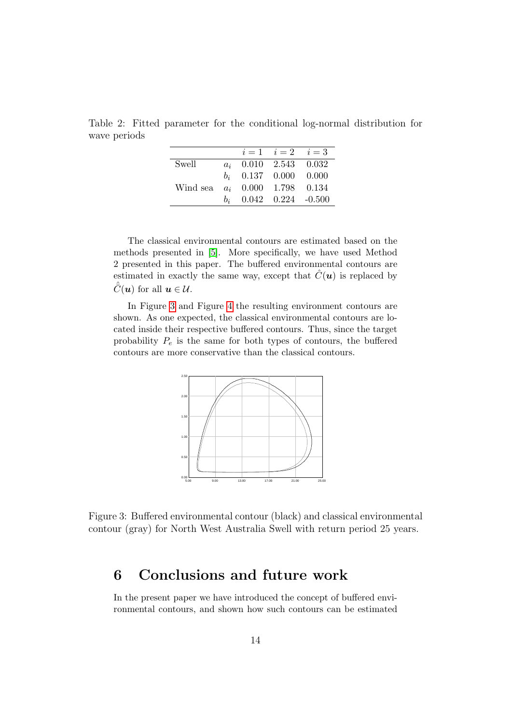<span id="page-13-0"></span>Table 2: Fitted parameter for the conditional log-normal distribution for wave periods

|                                  |                          | $i = 1$ $i = 2$ $i = 3$ |  |
|----------------------------------|--------------------------|-------------------------|--|
| Swell                            | $a_i$ 0.010 2.543 0.032  |                         |  |
|                                  | $b_i$ 0.137 0.000 0.000  |                         |  |
| Wind sea $a_i$ 0.000 1.798 0.134 |                          |                         |  |
|                                  | $b_i$ 0.042 0.224 -0.500 |                         |  |
|                                  |                          |                         |  |

The classical environmental contours are estimated based on the methods presented in [\[5\]](#page-16-4). More specifically, we have used Method 2 presented in this paper. The buffered environmental contours are estimated in exactly the same way, except that  $\hat{C}(\boldsymbol{u})$  is replaced by  $\hat{\bar{C}}(\boldsymbol{u})$  for all  $\boldsymbol{u} \in \mathcal{U}$ .

In Figure [3](#page-13-1) and Figure [4](#page-14-0) the resulting environment contours are shown. As one expected, the classical environmental contours are located inside their respective buffered contours. Thus, since the target probability  $P_e$  is the same for both types of contours, the buffered contours are more conservative than the classical contours.



<span id="page-13-1"></span>Figure 3: Buffered environmental contour (black) and classical environmental contour (gray) for North West Australia Swell with return period 25 years.

## 6 Conclusions and future work

In the present paper we have introduced the concept of buffered environmental contours, and shown how such contours can be estimated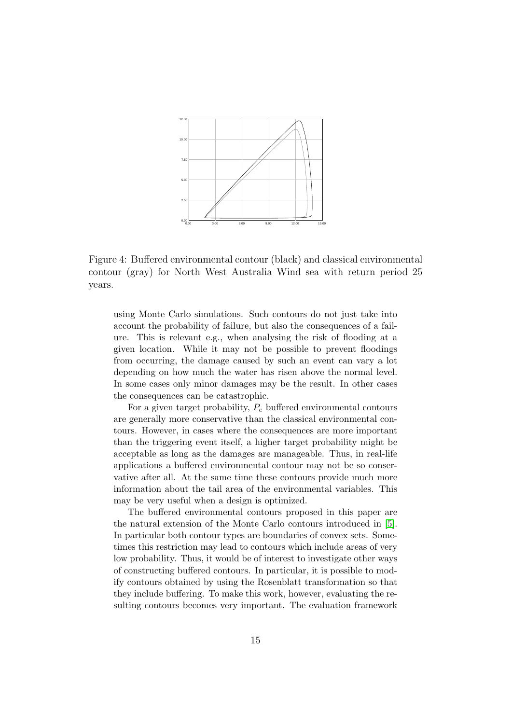

<span id="page-14-0"></span>Figure 4: Buffered environmental contour (black) and classical environmental contour (gray) for North West Australia Wind sea with return period 25 years.

using Monte Carlo simulations. Such contours do not just take into account the probability of failure, but also the consequences of a failure. This is relevant e.g., when analysing the risk of flooding at a given location. While it may not be possible to prevent floodings from occurring, the damage caused by such an event can vary a lot depending on how much the water has risen above the normal level. In some cases only minor damages may be the result. In other cases the consequences can be catastrophic.

For a given target probability,  $P_e$  buffered environmental contours are generally more conservative than the classical environmental contours. However, in cases where the consequences are more important than the triggering event itself, a higher target probability might be acceptable as long as the damages are manageable. Thus, in real-life applications a buffered environmental contour may not be so conservative after all. At the same time these contours provide much more information about the tail area of the environmental variables. This may be very useful when a design is optimized.

The buffered environmental contours proposed in this paper are the natural extension of the Monte Carlo contours introduced in [\[5\]](#page-16-4). In particular both contour types are boundaries of convex sets. Sometimes this restriction may lead to contours which include areas of very low probability. Thus, it would be of interest to investigate other ways of constructing buffered contours. In particular, it is possible to modify contours obtained by using the Rosenblatt transformation so that they include buffering. To make this work, however, evaluating the resulting contours becomes very important. The evaluation framework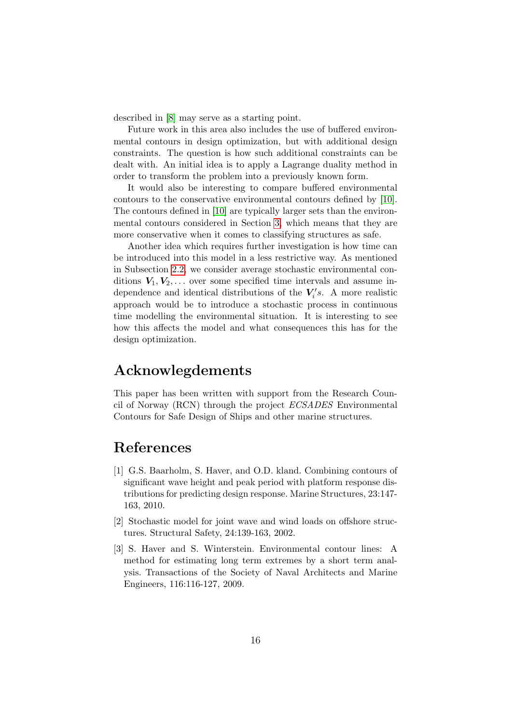described in [\[8\]](#page-16-10) may serve as a starting point.

Future work in this area also includes the use of buffered environmental contours in design optimization, but with additional design constraints. The question is how such additional constraints can be dealt with. An initial idea is to apply a Lagrange duality method in order to transform the problem into a previously known form.

It would also be interesting to compare buffered environmental contours to the conservative environmental contours defined by [\[10\]](#page-16-11). The contours defined in [\[10\]](#page-16-11) are typically larger sets than the environmental contours considered in Section [3,](#page-5-0) which means that they are more conservative when it comes to classifying structures as safe.

Another idea which requires further investigation is how time can be introduced into this model in a less restrictive way. As mentioned in Subsection [2.2,](#page-3-0) we consider average stochastic environmental conditions  $V_1, V_2, \ldots$  over some specified time intervals and assume independence and identical distributions of the  $V_i$ 's. A more realistic approach would be to introduce a stochastic process in continuous time modelling the environmental situation. It is interesting to see how this affects the model and what consequences this has for the design optimization.

## Acknowlegdements

This paper has been written with support from the Research Council of Norway (RCN) through the project ECSADES Environmental Contours for Safe Design of Ships and other marine structures.

### References

- <span id="page-15-1"></span>[1] G.S. Baarholm, S. Haver, and O.D. kland. Combining contours of significant wave height and peak period with platform response distributions for predicting design response. Marine Structures, 23:147- 163, 2010.
- <span id="page-15-2"></span>[2] Stochastic model for joint wave and wind loads on offshore structures. Structural Safety, 24:139-163, 2002.
- <span id="page-15-0"></span>[3] S. Haver and S. Winterstein. Environmental contour lines: A method for estimating long term extremes by a short term analysis. Transactions of the Society of Naval Architects and Marine Engineers, 116:116-127, 2009.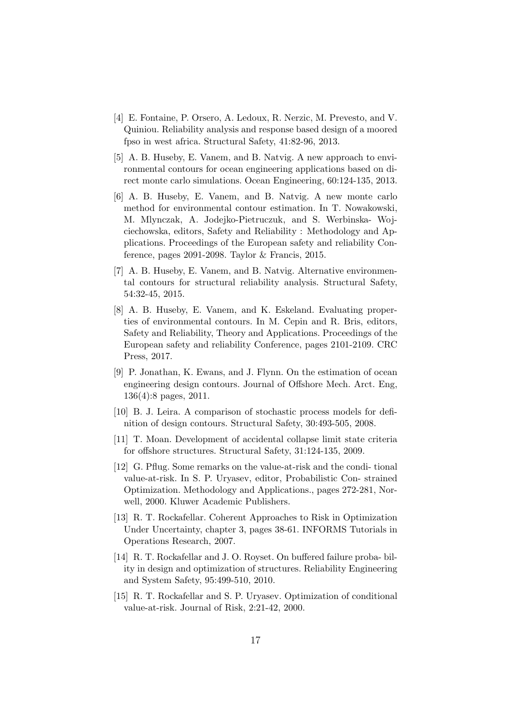- <span id="page-16-1"></span>[4] E. Fontaine, P. Orsero, A. Ledoux, R. Nerzic, M. Prevesto, and V. Quiniou. Reliability analysis and response based design of a moored fpso in west africa. Structural Safety, 41:82-96, 2013.
- <span id="page-16-4"></span>[5] A. B. Huseby, E. Vanem, and B. Natvig. A new approach to environmental contours for ocean engineering applications based on direct monte carlo simulations. Ocean Engineering, 60:124-135, 2013.
- <span id="page-16-6"></span>[6] A. B. Huseby, E. Vanem, and B. Natvig. A new monte carlo method for environmental contour estimation. In T. Nowakowski, M. Mlynczak, A. Jodejko-Pietruczuk, and S. Werbinska- Wojciechowska, editors, Safety and Reliability : Methodology and Applications. Proceedings of the European safety and reliability Conference, pages 2091-2098. Taylor & Francis, 2015.
- <span id="page-16-5"></span>[7] A. B. Huseby, E. Vanem, and B. Natvig. Alternative environmental contours for structural reliability analysis. Structural Safety, 54:32-45, 2015.
- <span id="page-16-10"></span>[8] A. B. Huseby, E. Vanem, and K. Eskeland. Evaluating properties of environmental contours. In M. Cepin and R. Bris, editors, Safety and Reliability, Theory and Applications. Proceedings of the European safety and reliability Conference, pages 2101-2109. CRC Press, 2017.
- <span id="page-16-2"></span>[9] P. Jonathan, K. Ewans, and J. Flynn. On the estimation of ocean engineering design contours. Journal of Offshore Mech. Arct. Eng, 136(4):8 pages, 2011.
- <span id="page-16-11"></span>[10] B. J. Leira. A comparison of stochastic process models for definition of design contours. Structural Safety, 30:493-505, 2008.
- <span id="page-16-3"></span>[11] T. Moan. Development of accidental collapse limit state criteria for offshore structures. Structural Safety, 31:124-135, 2009.
- <span id="page-16-7"></span>[12] G. Pflug. Some remarks on the value-at-risk and the condi- tional value-at-risk. In S. P. Uryasev, editor, Probabilistic Con- strained Optimization. Methodology and Applications., pages 272-281, Norwell, 2000. Kluwer Academic Publishers.
- <span id="page-16-8"></span>[13] R. T. Rockafellar. Coherent Approaches to Risk in Optimization Under Uncertainty, chapter 3, pages 38-61. INFORMS Tutorials in Operations Research, 2007.
- <span id="page-16-0"></span>[14] R. T. Rockafellar and J. O. Royset. On buffered failure proba- bility in design and optimization of structures. Reliability Engineering and System Safety, 95:499-510, 2010.
- <span id="page-16-9"></span>[15] R. T. Rockafellar and S. P. Uryasev. Optimization of conditional value-at-risk. Journal of Risk, 2:21-42, 2000.